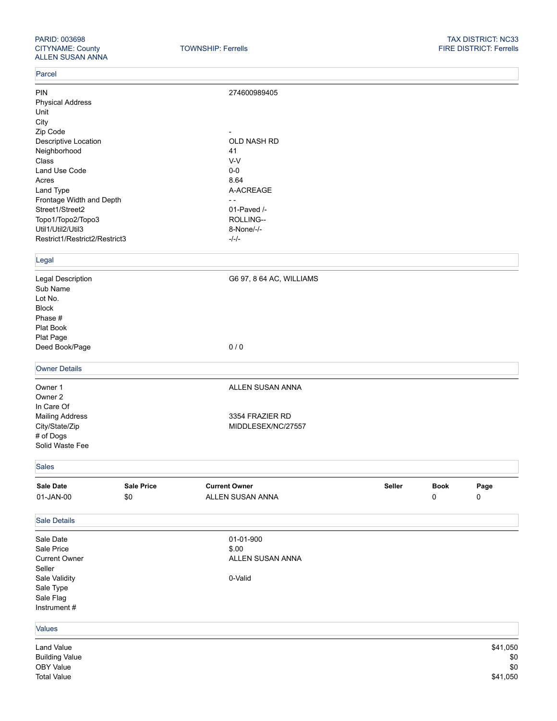## PARID: 003698 TAX DISTRICT: NC33 FIRE DISTRICT: Ferrells

## Parcel

| PIN                                                                                                                                                      |                   | 274600989405             |                                                          |             |          |  |  |  |  |
|----------------------------------------------------------------------------------------------------------------------------------------------------------|-------------------|--------------------------|----------------------------------------------------------|-------------|----------|--|--|--|--|
| <b>Physical Address</b>                                                                                                                                  |                   |                          |                                                          |             |          |  |  |  |  |
| Unit                                                                                                                                                     |                   |                          |                                                          |             |          |  |  |  |  |
| City                                                                                                                                                     |                   |                          |                                                          |             |          |  |  |  |  |
| Zip Code                                                                                                                                                 |                   |                          |                                                          |             |          |  |  |  |  |
| Descriptive Location<br>Neighborhood<br>Class<br>Land Use Code<br>Acres<br>Land Type<br>Frontage Width and Depth<br>Street1/Street2<br>Topo1/Topo2/Topo3 |                   | OLD NASH RD              |                                                          |             |          |  |  |  |  |
|                                                                                                                                                          |                   | 41                       | V-V<br>$0-0$<br>8.64<br>A-ACREAGE<br>$ -$<br>01-Paved /- |             |          |  |  |  |  |
|                                                                                                                                                          |                   |                          |                                                          |             |          |  |  |  |  |
|                                                                                                                                                          |                   |                          |                                                          |             |          |  |  |  |  |
|                                                                                                                                                          |                   |                          |                                                          |             |          |  |  |  |  |
|                                                                                                                                                          |                   |                          |                                                          |             |          |  |  |  |  |
|                                                                                                                                                          |                   |                          |                                                          |             |          |  |  |  |  |
|                                                                                                                                                          |                   |                          |                                                          |             |          |  |  |  |  |
|                                                                                                                                                          |                   | ROLLING--                |                                                          |             |          |  |  |  |  |
| Util1/Util2/Util3                                                                                                                                        |                   | 8-None/-/-               |                                                          |             |          |  |  |  |  |
| Restrict1/Restrict2/Restrict3                                                                                                                            |                   | $-/-/-$                  |                                                          |             |          |  |  |  |  |
|                                                                                                                                                          |                   |                          |                                                          |             |          |  |  |  |  |
| Legal                                                                                                                                                    |                   |                          |                                                          |             |          |  |  |  |  |
| Legal Description                                                                                                                                        |                   | G6 97, 8 64 AC, WILLIAMS |                                                          |             |          |  |  |  |  |
| Sub Name                                                                                                                                                 |                   |                          |                                                          |             |          |  |  |  |  |
| Lot No.                                                                                                                                                  |                   |                          |                                                          |             |          |  |  |  |  |
| <b>Block</b>                                                                                                                                             |                   |                          |                                                          |             |          |  |  |  |  |
| Phase #                                                                                                                                                  |                   |                          |                                                          |             |          |  |  |  |  |
| Plat Book                                                                                                                                                |                   |                          |                                                          |             |          |  |  |  |  |
| Plat Page                                                                                                                                                |                   |                          |                                                          |             |          |  |  |  |  |
| Deed Book/Page                                                                                                                                           |                   | 0/0                      |                                                          |             |          |  |  |  |  |
|                                                                                                                                                          |                   |                          |                                                          |             |          |  |  |  |  |
| <b>Owner Details</b>                                                                                                                                     |                   |                          |                                                          |             |          |  |  |  |  |
| Owner 1                                                                                                                                                  |                   | ALLEN SUSAN ANNA         |                                                          |             |          |  |  |  |  |
| Owner 2                                                                                                                                                  |                   |                          |                                                          |             |          |  |  |  |  |
| In Care Of                                                                                                                                               |                   |                          |                                                          |             |          |  |  |  |  |
| <b>Mailing Address</b>                                                                                                                                   |                   | 3354 FRAZIER RD          |                                                          |             |          |  |  |  |  |
| City/State/Zip                                                                                                                                           |                   | MIDDLESEX/NC/27557       |                                                          |             |          |  |  |  |  |
| # of Dogs                                                                                                                                                |                   |                          |                                                          |             |          |  |  |  |  |
| Solid Waste Fee                                                                                                                                          |                   |                          |                                                          |             |          |  |  |  |  |
|                                                                                                                                                          |                   |                          |                                                          |             |          |  |  |  |  |
| <b>Sales</b>                                                                                                                                             |                   |                          |                                                          |             |          |  |  |  |  |
| Sale Date                                                                                                                                                | <b>Sale Price</b> | <b>Current Owner</b>     | Seller                                                   | <b>Book</b> | Page     |  |  |  |  |
| 01-JAN-00                                                                                                                                                | \$0               | ALLEN SUSAN ANNA         |                                                          | 0           | 0        |  |  |  |  |
|                                                                                                                                                          |                   |                          |                                                          |             |          |  |  |  |  |
| <b>Sale Details</b>                                                                                                                                      |                   |                          |                                                          |             |          |  |  |  |  |
| Sale Date                                                                                                                                                |                   | 01-01-900                |                                                          |             |          |  |  |  |  |
| Sale Price                                                                                                                                               |                   | \$.00                    |                                                          |             |          |  |  |  |  |
| <b>Current Owner</b>                                                                                                                                     |                   | ALLEN SUSAN ANNA         |                                                          |             |          |  |  |  |  |
| Seller                                                                                                                                                   |                   |                          |                                                          |             |          |  |  |  |  |
| Sale Validity                                                                                                                                            |                   | 0-Valid                  |                                                          |             |          |  |  |  |  |
| Sale Type                                                                                                                                                |                   |                          |                                                          |             |          |  |  |  |  |
| Sale Flag                                                                                                                                                |                   |                          |                                                          |             |          |  |  |  |  |
| Instrument #                                                                                                                                             |                   |                          |                                                          |             |          |  |  |  |  |
|                                                                                                                                                          |                   |                          |                                                          |             |          |  |  |  |  |
| Values                                                                                                                                                   |                   |                          |                                                          |             |          |  |  |  |  |
| Land Value                                                                                                                                               |                   |                          |                                                          |             | \$41,050 |  |  |  |  |
| <b>Building Value</b>                                                                                                                                    |                   |                          |                                                          |             | \$0      |  |  |  |  |